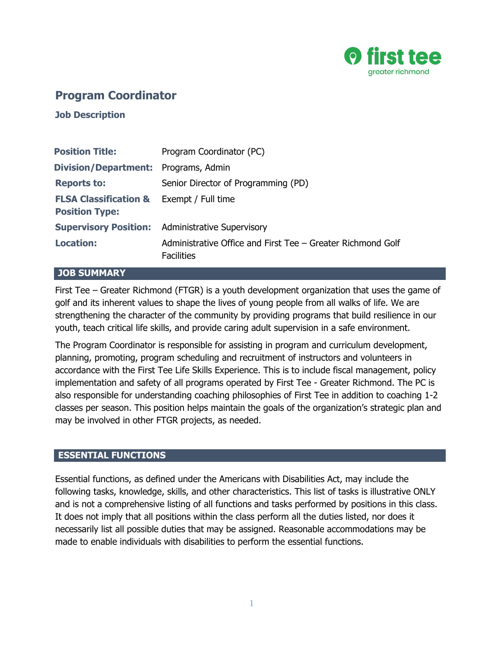

# **Program Coordinator**

**Job Description**

| <b>Position Title:</b>                                                       | Program Coordinator (PC)                                                         |
|------------------------------------------------------------------------------|----------------------------------------------------------------------------------|
| <b>Division/Department:</b> Programs, Admin                                  |                                                                                  |
| <b>Reports to:</b>                                                           | Senior Director of Programming (PD)                                              |
| <b>FLSA Classification &amp; Exempt / Full time</b><br><b>Position Type:</b> |                                                                                  |
|                                                                              | <b>Supervisory Position:</b> Administrative Supervisory                          |
| <b>Location:</b>                                                             | Administrative Office and First Tee – Greater Richmond Golf<br><b>Facilities</b> |

#### **JOB SUMMARY**

First Tee – Greater Richmond (FTGR) is a youth development organization that uses the game of golf and its inherent values to shape the lives of young people from all walks of life. We are strengthening the character of the community by providing programs that build resilience in our youth, teach critical life skills, and provide caring adult supervision in a safe environment.

The Program Coordinator is responsible for assisting in program and curriculum development, planning, promoting, program scheduling and recruitment of instructors and volunteers in accordance with the First Tee Life Skills Experience. This is to include fiscal management, policy implementation and safety of all programs operated by First Tee - Greater Richmond. The PC is also responsible for understanding coaching philosophies of First Tee in addition to coaching 1-2 classes per season. This position helps maintain the goals of the organization's strategic plan and may be involved in other FTGR projects, as needed.

### **ESSENTIAL FUNCTIONS**

Essential functions, as defined under the Americans with Disabilities Act, may include the following tasks, knowledge, skills, and other characteristics. This list of tasks is illustrative ONLY and is not a comprehensive listing of all functions and tasks performed by positions in this class. It does not imply that all positions within the class perform all the duties listed, nor does it necessarily list all possible duties that may be assigned. Reasonable accommodations may be made to enable individuals with disabilities to perform the essential functions.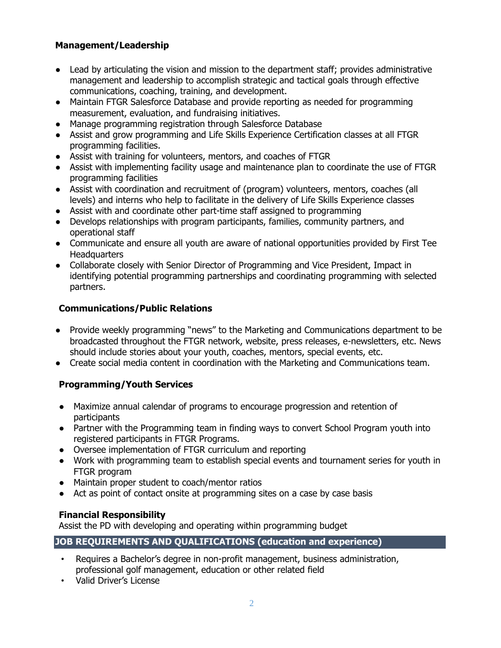# **Management/Leadership**

- Lead by articulating the vision and mission to the department staff; provides administrative management and leadership to accomplish strategic and tactical goals through effective communications, coaching, training, and development.
- Maintain FTGR Salesforce Database and provide reporting as needed for programming measurement, evaluation, and fundraising initiatives.
- Manage programming registration through Salesforce Database
- Assist and grow programming and Life Skills Experience Certification classes at all FTGR programming facilities.
- Assist with training for volunteers, mentors, and coaches of FTGR
- Assist with implementing facility usage and maintenance plan to coordinate the use of FTGR programming facilities
- Assist with coordination and recruitment of (program) volunteers, mentors, coaches (all levels) and interns who help to facilitate in the delivery of Life Skills Experience classes
- Assist with and coordinate other part-time staff assigned to programming
- Develops relationships with program participants, families, community partners, and operational staff
- Communicate and ensure all youth are aware of national opportunities provided by First Tee **Headquarters**
- Collaborate closely with Senior Director of Programming and Vice President, Impact in identifying potential programming partnerships and coordinating programming with selected partners.

# **Communications/Public Relations**

- Provide weekly programming "news" to the Marketing and Communications department to be broadcasted throughout the FTGR network, website, press releases, e-newsletters, etc. News should include stories about your youth, coaches, mentors, special events, etc.
- Create social media content in coordination with the Marketing and Communications team.

# **Programming/Youth Services**

- Maximize annual calendar of programs to encourage progression and retention of participants
- Partner with the Programming team in finding ways to convert School Program youth into registered participants in FTGR Programs.
- Oversee implementation of FTGR curriculum and reporting
- Work with programming team to establish special events and tournament series for youth in FTGR program
- Maintain proper student to coach/mentor ratios
- Act as point of contact onsite at programming sites on a case by case basis

# **Financial Responsibility**

Assist the PD with developing and operating within programming budget

# **JOB REQUIREMENTS AND QUALIFICATIONS (education and experience)**

- Requires a Bachelor's degree in non-profit management, business administration, professional golf management, education or other related field
- Valid Driver's License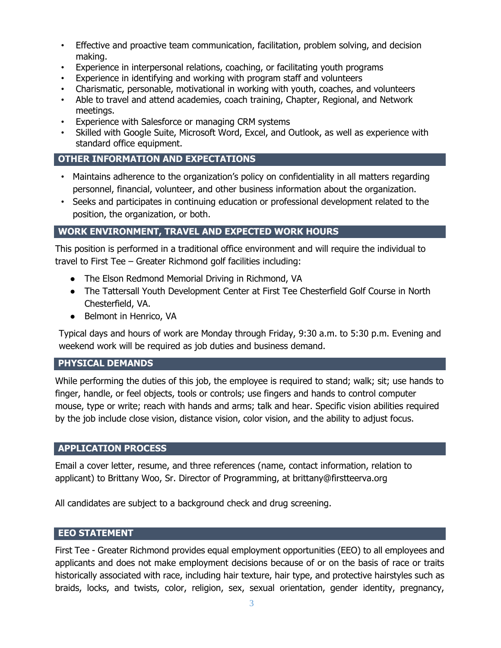- Effective and proactive team communication, facilitation, problem solving, and decision making.
- Experience in interpersonal relations, coaching, or facilitating youth programs
- Experience in identifying and working with program staff and volunteers
- Charismatic, personable, motivational in working with youth, coaches, and volunteers
- Able to travel and attend academies, coach training, Chapter, Regional, and Network meetings.
- Experience with Salesforce or managing CRM systems
- Skilled with Google Suite, Microsoft Word, Excel, and Outlook, as well as experience with standard office equipment.

### **OTHER INFORMATION AND EXPECTATIONS**

- Maintains adherence to the organization's policy on confidentiality in all matters regarding personnel, financial, volunteer, and other business information about the organization.
- Seeks and participates in continuing education or professional development related to the position, the organization, or both.

# **WORK ENVIRONMENT, TRAVEL AND EXPECTED WORK HOURS**

This position is performed in a traditional office environment and will require the individual to travel to First Tee – Greater Richmond golf facilities including:

- The Elson Redmond Memorial Driving in Richmond, VA
- The Tattersall Youth Development Center at First Tee Chesterfield Golf Course in North Chesterfield, VA.
- Belmont in Henrico, VA

Typical days and hours of work are Monday through Friday, 9:30 a.m. to 5:30 p.m. Evening and weekend work will be required as job duties and business demand.

#### **PHYSICAL DEMANDS**

While performing the duties of this job, the employee is required to stand; walk; sit; use hands to finger, handle, or feel objects, tools or controls; use fingers and hands to control computer mouse, type or write; reach with hands and arms; talk and hear. Specific vision abilities required by the job include close vision, distance vision, color vision, and the ability to adjust focus.

#### **APPLICATION PROCESS**

Email a cover letter, resume, and three references (name, contact information, relation to applicant) to Brittany Woo, Sr. Director of Programming, at brittany@firstteerva.org

All candidates are subject to a background check and drug screening.

### **EEO STATEMENT**

First Tee - Greater Richmond provides equal employment opportunities (EEO) to all employees and applicants and does not make employment decisions because of or on the basis of race or traits historically associated with race, including hair texture, hair type, and protective hairstyles such as braids, locks, and twists, color, religion, sex, sexual orientation, gender identity, pregnancy,